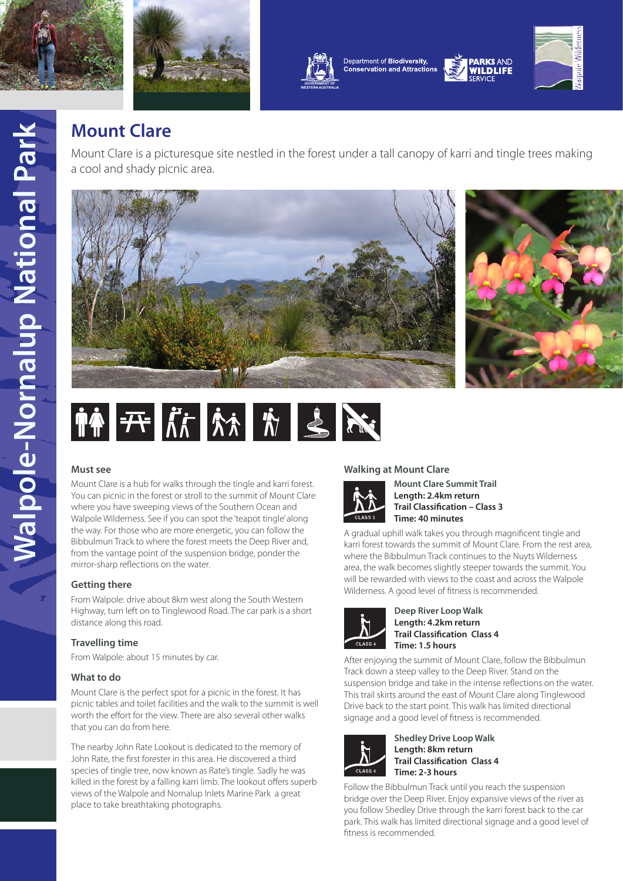





Department of Biodiversity, **Conservation and Attractions** 



**WILDLIFF** 

# **Mount Clare**

Mount Clare is a picturesque site nestled in the forest under a tall canopy of karri and tingle trees making a cool and shady picnic area.







## **Must see**

Mount Clare is a hub for walks through the tingle and karri forest. You can picnic in the forest or stroll to the summit of Mount Clare where you have sweeping views of the Southern Ocean and Walpole Wilderness. See if you can spot the 'teapot tingle' along the way. For those who are more energetic, you can follow the Bibbulmun Track to where the forest meets the Deep River and, from the vantage point of the suspension bridge, ponder the mirror-sharp reflections on the water.

## **Getting there**

From Walpole: drive about 8km west along the South Western Highway, turn left on to Tinglewood Road. The car park is a short distance along this road.

## **Travelling time**

From Walpole: about 15 minutes by car.

### **What to do**

Mount Clare is the perfect spot for a picnic in the forest. It has picnic tables and toilet facilities and the walk to the summit is well worth the effort for the view. There are also several other walks that you can do from here.

The nearby John Rate Lookout is dedicated to the memory of John Rate, the first forester in this area. He discovered a third species of tingle tree, now known as Rate's tingle. Sadly he was killed in the forest by a falling karri limb. The lookout offers superb views of the Walpole and Nornalup Inlets Marine Park a great place to take breathtaking photographs.

## **Walking at Mount Clare**



**Mount Clare Summit Trail Length: 2.4km return Trail Classification – Class 3 Time: 40 minutes**

A gradual uphill walk takes you through magnificent tingle and karri forest towards the summit of Mount Clare. From the rest area, where the Bibbulmun Track continues to the Nuyts Wilderness area, the walk becomes slightly steeper towards the summit. You will be rewarded with views to the coast and across the Walpole Wilderness. A good level of fitness is recommended.



**Deep River Loop Walk Length: 4.2km return Trail Classification Class 4 Time: 1.5 hours**

After enjoying the summit of Mount Clare, follow the Bibbulmun Track down a steep valley to the Deep River. Stand on the suspension bridge and take in the intense reflections on the water. This trail skirts around the east of Mount Clare along Tinglewood Drive back to the start point. This walk has limited directional signage and a good level of fitness is recommended.



**Shedley Drive Loop Walk Length: 8km return Trail Classification Class 4 Time: 2-3 hours**

Follow the Bibbulmun Track until you reach the suspension bridge over the Deep River. Enjoy expansive views of the river as you follow Shedley Drive through the karri forest back to the car park. This walk has limited directional signage and a good level of fitness is recommended.